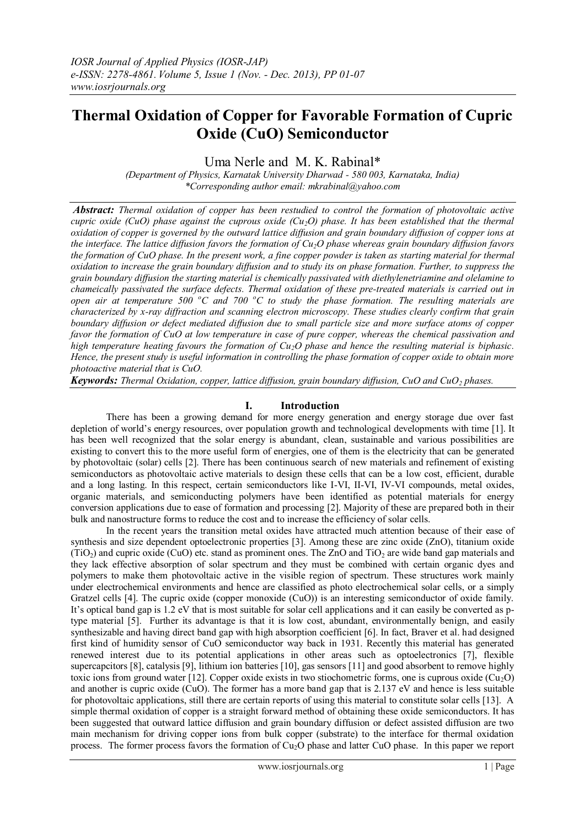# **Thermal Oxidation of Copper for Favorable Formation of Cupric Oxide (CuO) Semiconductor**

Uma Nerle and M. K. Rabinal\*

*(Department of Physics, Karnatak University Dharwad - 580 003, Karnataka, India) \*Corresponding author email: mkrabinal@yahoo.com*

*Abstract: Thermal oxidation of copper has been restudied to control the formation of photovoltaic active cupric oxide (CuO) phase against the cuprous oxide (Cu2O) phase. It has been established that the thermal oxidation of copper is governed by the outward lattice diffusion and grain boundary diffusion of copper ions at the interface. The lattice diffusion favors the formation of Cu2O phase whereas grain boundary diffusion favors the formation of CuO phase. In the present work, a fine copper powder is taken as starting material for thermal oxidation to increase the grain boundary diffusion and to study its on phase formation. Further, to suppress the grain boundary diffusion the starting material is chemically passivated with diethylenetriamine and olelamine to chameically passivated the surface defects. Thermal oxidation of these pre-treated materials is carried out in open air at temperature 500 <sup>o</sup>C and 700 <sup>o</sup>C to study the phase formation. The resulting materials are characterized by x-ray diffraction and scanning electron microscopy. These studies clearly confirm that grain boundary diffusion or defect mediated diffusion due to small particle size and more surface atoms of copper favor the formation of CuO at low temperature in case of pure copper, whereas the chemical passivation and high temperature heating favours the formation of Cu2O phase and hence the resulting material is biphasic. Hence, the present study is useful information in controlling the phase formation of copper oxide to obtain more photoactive material that is CuO.*

*Keywords: Thermal Oxidation, copper, lattice diffusion, grain boundary diffusion, CuO and CuO<sup>2</sup> phases.*

## **I. Introduction**

There has been a growing demand for more energy generation and energy storage due over fast depletion of world's energy resources, over population growth and technological developments with time [1]. It has been well recognized that the solar energy is abundant, clean, sustainable and various possibilities are existing to convert this to the more useful form of energies, one of them is the electricity that can be generated by photovoltaic (solar) cells [2]. There has been continuous search of new materials and refinement of existing semiconductors as photovoltaic active materials to design these cells that can be a low cost, efficient, durable and a long lasting. In this respect, certain semiconductors like I-VI, II-VI, IV-VI compounds, metal oxides, organic materials, and semiconducting polymers have been identified as potential materials for energy conversion applications due to ease of formation and processing [2]. Majority of these are prepared both in their bulk and nanostructure forms to reduce the cost and to increase the efficiency of solar cells.

In the recent years the transition metal oxides have attracted much attention because of their ease of synthesis and size dependent optoelectronic properties [3]. Among these are zinc oxide (ZnO), titanium oxide  $(TiO<sub>2</sub>)$  and cupric oxide (CuO) etc. stand as prominent ones. The ZnO and TiO<sub>2</sub> are wide band gap materials and they lack effective absorption of solar spectrum and they must be combined with certain organic dyes and polymers to make them photovoltaic active in the visible region of spectrum. These structures work mainly under electrochemical environments and hence are classified as photo electrochemical solar cells, or a simply Gratzel cells [4]. The cupric oxide (copper monoxide (CuO)) is an interesting semiconductor of oxide family. It's optical band gap is 1.2 eV that is most suitable for solar cell applications and it can easily be converted as ptype material [5]. Further its advantage is that it is low cost, abundant, environmentally benign, and easily synthesizable and having direct band gap with high absorption coefficient [6]. In fact, Braver et al. had designed first kind of humidity sensor of CuO semiconductor way back in 1931. Recently this material has generated renewed interest due to its potential applications in other areas such as optoelectronics [7], flexible supercapcitors [8], catalysis [9], lithium ion batteries [10], gas sensors [11] and good absorbent to remove highly toxic ions from ground water [12]. Copper oxide exists in two stiochometric forms, one is cuprous oxide ( $Cu<sub>2</sub>O$ ) and another is cupric oxide (CuO). The former has a more band gap that is 2.137 eV and hence is less suitable for photovoltaic applications, still there are certain reports of using this material to constitute solar cells [13]. A simple thermal oxidation of copper is a straight forward method of obtaining these oxide semiconductors. It has been suggested that outward lattice diffusion and grain boundary diffusion or defect assisted diffusion are two main mechanism for driving copper ions from bulk copper (substrate) to the interface for thermal oxidation process. The former process favors the formation of  $Cu<sub>2</sub>O$  phase and latter CuO phase. In this paper we report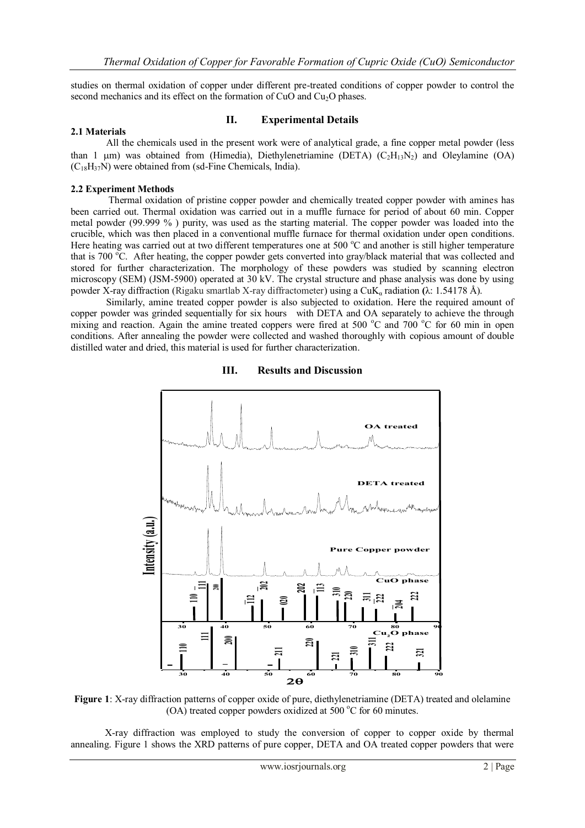studies on thermal oxidation of copper under different pre-treated conditions of copper powder to control the second mechanics and its effect on the formation of CuO and Cu<sub>2</sub>O phases.

#### **II. Experimental Details**

#### **2.1 Materials**

 All the chemicals used in the present work were of analytical grade, a fine copper metal powder (less than 1  $\mu$ m) was obtained from (Himedia), Diethylenetriamine (DETA) (C<sub>2</sub>H<sub>13</sub>N<sub>2</sub>) and Oleylamine (OA)  $(C_{18}H_{37}N)$  were obtained from (sd-Fine Chemicals, India).

#### **2.2 Experiment Methods**

 Thermal oxidation of pristine copper powder and chemically treated copper powder with amines has been carried out. Thermal oxidation was carried out in a muffle furnace for period of about 60 min. Copper metal powder (99.999 % ) purity, was used as the starting material. The copper powder was loaded into the crucible, which was then placed in a conventional muffle furnace for thermal oxidation under open conditions. Here heating was carried out at two different temperatures one at 500  $^{\circ}$ C and another is still higher temperature that is 700  $^{\circ}$ C. After heating, the copper powder gets converted into gray/black material that was collected and stored for further characterization. The morphology of these powders was studied by scanning electron microscopy (SEM) (JSM-5900) operated at 30 kV. The crystal structure and phase analysis was done by using powder X-ray diffraction (Rigaku smartlab X-ray diffractometer) using a CuK<sup>α</sup> radiation **(**λ: 1.54178 Å).

Similarly, amine treated copper powder is also subjected to oxidation. Here the required amount of copper powder was grinded sequentially for six hours with DETA and OA separately to achieve the through mixing and reaction. Again the amine treated coppers were fired at 500  $^{\circ}$ C and 700  $^{\circ}$ C for 60 min in open conditions. After annealing the powder were collected and washed thoroughly with copious amount of double distilled water and dried, this material is used for further characterization.



**III. Results and Discussion**

**Figure 1**: X-ray diffraction patterns of copper oxide of pure, diethylenetriamine (DETA) treated and olelamine (OA) treated copper powders oxidized at 500  $^{\circ}$ C for 60 minutes.

 X-ray diffraction was employed to study the conversion of copper to copper oxide by thermal annealing. Figure 1 shows the XRD patterns of pure copper, DETA and OA treated copper powders that were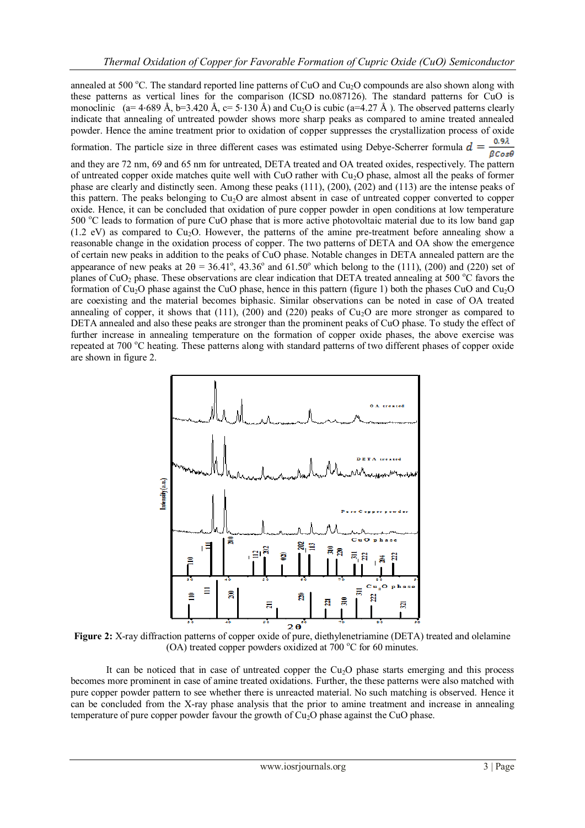annealed at 500 °C. The standard reported line patterns of CuO and Cu<sub>2</sub>O compounds are also shown along with these patterns as vertical lines for the comparison (ICSD no.087126). The standard patterns for CuO is monoclinic (a= 4⋅689 Å, b=3.420 Å, c= 5⋅130 Å) and Cu<sub>2</sub>O is cubic (a=4.27 Å). The observed patterns clearly indicate that annealing of untreated powder shows more sharp peaks as compared to amine treated annealed powder. Hence the amine treatment prior to oxidation of copper suppresses the crystallization process of oxide

0.92 formation. The particle size in three different cases was estimated using Debye-Scherrer formula  $\mathbf{d} =$ 

 $\beta$ Cos $\theta$ and they are 72 nm, 69 and 65 nm for untreated, DETA treated and OA treated oxides, respectively. The pattern of untreated copper oxide matches quite well with CuO rather with Cu2O phase, almost all the peaks of former phase are clearly and distinctly seen. Among these peaks (111), (200), (202) and (113) are the intense peaks of this pattern. The peaks belonging to  $Cu<sub>2</sub>O$  are almost absent in case of untreated copper converted to copper oxide. Hence, it can be concluded that oxidation of pure copper powder in open conditions at low temperature 500 °C leads to formation of pure CuO phase that is more active photovoltaic material due to its low band gap  $(1.2 \text{ eV})$  as compared to Cu<sub>2</sub>O. However, the patterns of the amine pre-treatment before annealing show a reasonable change in the oxidation process of copper. The two patterns of DETA and OA show the emergence of certain new peaks in addition to the peaks of CuO phase. Notable changes in DETA annealed pattern are the appearance of new peaks at  $2\theta = 36.41^{\circ}$ ,  $43.36^{\circ}$  and  $61.50^{\circ}$  which belong to the (111), (200) and (220) set of planes of CuO<sub>2</sub> phase. These observations are clear indication that DETA treated annealing at 500  $^{\circ}$ C favors the formation of  $Cu<sub>2</sub>O$  phase against the CuO phase, hence in this pattern (figure 1) both the phases CuO and Cu<sub>2</sub>O are coexisting and the material becomes biphasic. Similar observations can be noted in case of OA treated annealing of copper, it shows that (111), (200) and (220) peaks of  $Cu<sub>2</sub>O$  are more stronger as compared to DETA annealed and also these peaks are stronger than the prominent peaks of CuO phase. To study the effect of further increase in annealing temperature on the formation of copper oxide phases, the above exercise was repeated at 700 °C heating. These patterns along with standard patterns of two different phases of copper oxide are shown in figure 2.



**Figure 2:** X-ray diffraction patterns of copper oxide of pure, diethylenetriamine (DETA) treated and olelamine (OA) treated copper powders oxidized at 700  $^{\circ}$ C for 60 minutes.

It can be noticed that in case of untreated copper the  $Cu<sub>2</sub>O$  phase starts emerging and this process becomes more prominent in case of amine treated oxidations. Further, the these patterns were also matched with pure copper powder pattern to see whether there is unreacted material. No such matching is observed. Hence it can be concluded from the X-ray phase analysis that the prior to amine treatment and increase in annealing temperature of pure copper powder favour the growth of  $Cu<sub>2</sub>O$  phase against the CuO phase.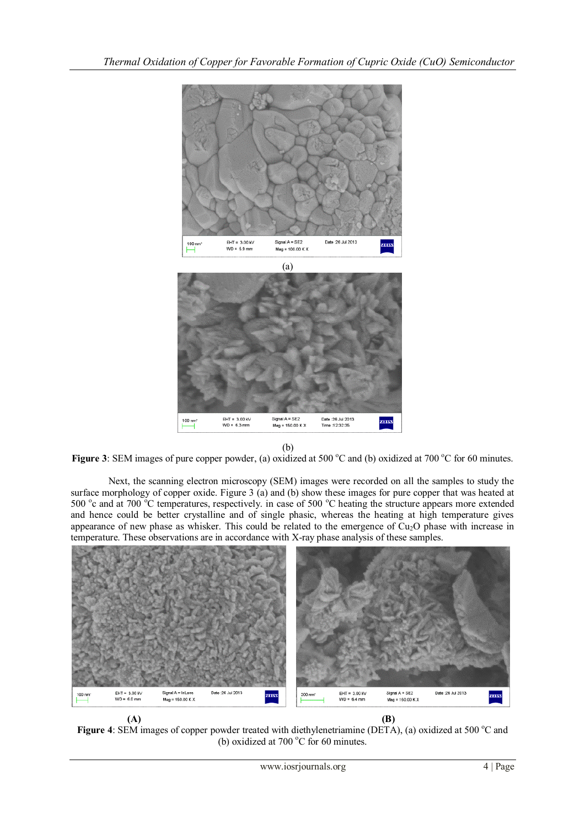



(b)



Next, the scanning electron microscopy (SEM) images were recorded on all the samples to study the surface morphology of copper oxide. Figure 3 (a) and (b) show these images for pure copper that was heated at 500 °c and at 700 °C temperatures, respectively. in case of 500 °C heating the structure appears more extended and hence could be better crystalline and of single phasic, whereas the heating at high temperature gives appearance of new phase as whisker. This could be related to the emergence of  $Cu<sub>2</sub>O$  phase with increase in temperature. These observations are in accordance with X-ray phase analysis of these samples.



 **(A) (B) Figure 4**: SEM images of copper powder treated with diethylenetriamine (DETA), (a) oxidized at 500 °C and (b) oxidized at 700 $\degree$ C for 60 minutes.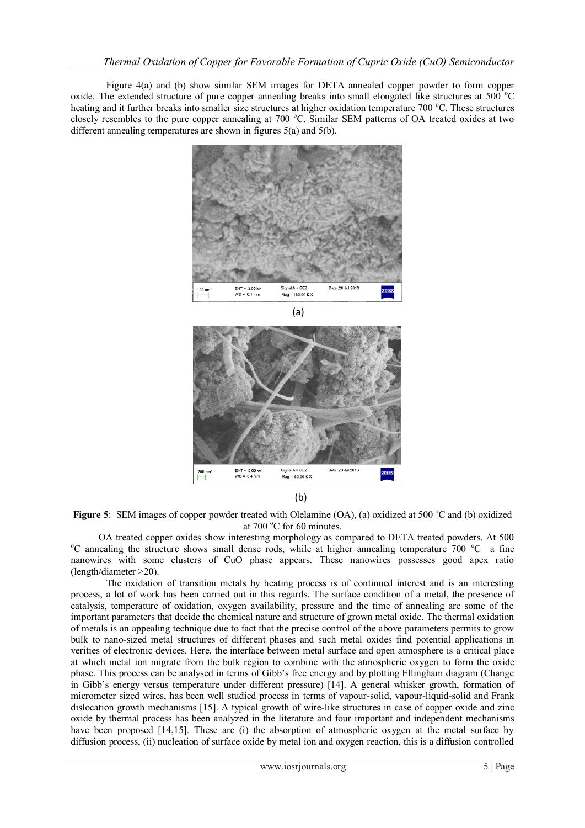Figure 4(a) and (b) show similar SEM images for DETA annealed copper powder to form copper oxide. The extended structure of pure copper annealing breaks into small elongated like structures at  $500^{\circ}$ °C heating and it further breaks into smaller size structures at higher oxidation temperature  $700\degree C$ . These structures closely resembles to the pure copper annealing at 700 °C. Similar SEM patterns of OA treated oxides at two different annealing temperatures are shown in figures 5(a) and 5(b).





(b)

**Figure 5:** SEM images of copper powder treated with Olelamine (OA), (a) oxidized at 500 °C and (b) oxidized at  $700\text{ °C}$  for 60 minutes.

 OA treated copper oxides show interesting morphology as compared to DETA treated powders. At 500 <sup>o</sup>C annealing the structure shows small dense rods, while at higher annealing temperature 700 <sup>o</sup>C a fine nanowires with some clusters of CuO phase appears. These nanowires possesses good apex ratio (length/diameter >20).

 The oxidation of transition metals by heating process is of continued interest and is an interesting process, a lot of work has been carried out in this regards. The surface condition of a metal, the presence of catalysis, temperature of oxidation, oxygen availability, pressure and the time of annealing are some of the important parameters that decide the chemical nature and structure of grown metal oxide. The thermal oxidation of metals is an appealing technique due to fact that the precise control of the above parameters permits to grow bulk to nano-sized metal structures of different phases and such metal oxides find potential applications in verities of electronic devices. Here, the interface between metal surface and open atmosphere is a critical place at which metal ion migrate from the bulk region to combine with the atmospheric oxygen to form the oxide phase. This process can be analysed in terms of Gibb's free energy and by plotting Ellingham diagram (Change in Gibb's energy versus temperature under different pressure) [14]. A general whisker growth, formation of micrometer sized wires, has been well studied process in terms of vapour-solid, vapour-liquid-solid and Frank dislocation growth mechanisms [15]. A typical growth of wire-like structures in case of copper oxide and zinc oxide by thermal process has been analyzed in the literature and four important and independent mechanisms have been proposed [14,15]. These are (i) the absorption of atmospheric oxygen at the metal surface by diffusion process, (ii) nucleation of surface oxide by metal ion and oxygen reaction, this is a diffusion controlled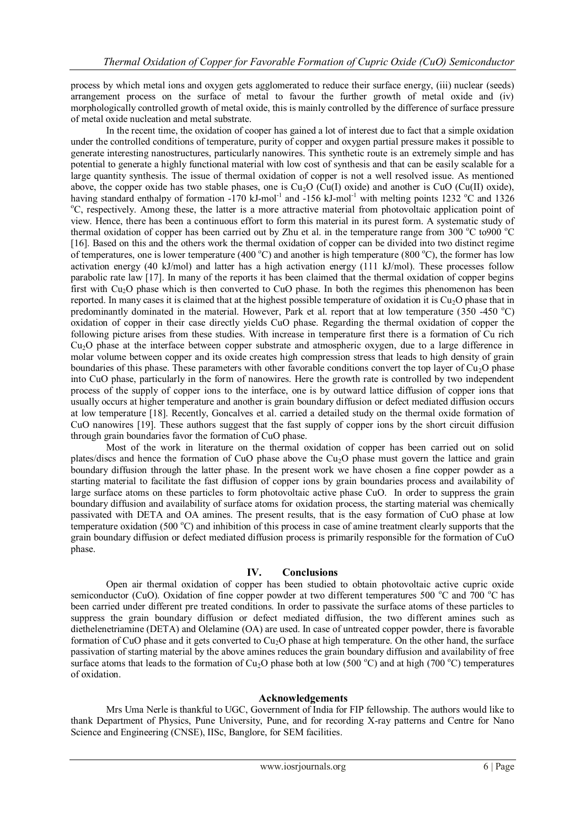process by which metal ions and oxygen gets agglomerated to reduce their surface energy, (iii) nuclear (seeds) arrangement process on the surface of metal to favour the further growth of metal oxide and (iv) morphologically controlled growth of metal oxide, this is mainly controlled by the difference of surface pressure of metal oxide nucleation and metal substrate.

In the recent time, the oxidation of cooper has gained a lot of interest due to fact that a simple oxidation under the controlled conditions of temperature, purity of copper and oxygen partial pressure makes it possible to generate interesting nanostructures, particularly nanowires. This synthetic route is an extremely simple and has potential to generate a highly functional material with low cost of synthesis and that can be easily scalable for a large quantity synthesis. The issue of thermal oxidation of copper is not a well resolved issue. As mentioned above, the copper oxide has two stable phases, one is  $Cu<sub>2</sub>O$  (Cu(I) oxide) and another is CuO (Cu(II) oxide), having standard enthalpy of formation -170 kJ-mol<sup>-1</sup> and -156 kJ-mol<sup>-1</sup> with melting points 1232 °C and 1326 <sup>o</sup>C, respectively. Among these, the latter is a more attractive material from photovoltaic application point of view. Hence, there has been a continuous effort to form this material in its purest form. A systematic study of thermal oxidation of copper has been carried out by Zhu et al. in the temperature range from  $300\degree\text{C}$  to  $900\degree\text{C}$ [16]. Based on this and the others work the thermal oxidation of copper can be divided into two distinct regime of temperatures, one is lower temperature (400  $^{\circ}$ C) and another is high temperature (800  $^{\circ}$ C), the former has low activation energy (40 kJ/mol) and latter has a high activation energy (111 kJ/mol). These processes follow parabolic rate law [17]. In many of the reports it has been claimed that the thermal oxidation of copper begins first with Cu2O phase which is then converted to CuO phase. In both the regimes this phenomenon has been reported. In many cases it is claimed that at the highest possible temperature of oxidation it is  $Cu<sub>2</sub>O$  phase that in predominantly dominated in the material. However, Park et al. report that at low temperature (350 -450  $^{\circ}$ C) oxidation of copper in their case directly yields CuO phase. Regarding the thermal oxidation of copper the following picture arises from these studies. With increase in temperature first there is a formation of Cu rich Cu2O phase at the interface between copper substrate and atmospheric oxygen, due to a large difference in molar volume between copper and its oxide creates high compression stress that leads to high density of grain boundaries of this phase. These parameters with other favorable conditions convert the top layer of  $Cu<sub>2</sub>O$  phase into CuO phase, particularly in the form of nanowires. Here the growth rate is controlled by two independent process of the supply of copper ions to the interface, one is by outward lattice diffusion of copper ions that usually occurs at higher temperature and another is grain boundary diffusion or defect mediated diffusion occurs at low temperature [18]. Recently, Goncalves et al. carried a detailed study on the thermal oxide formation of CuO nanowires [19]. These authors suggest that the fast supply of copper ions by the short circuit diffusion through grain boundaries favor the formation of CuO phase.

Most of the work in literature on the thermal oxidation of copper has been carried out on solid plates/discs and hence the formation of CuO phase above the Cu<sub>2</sub>O phase must govern the lattice and grain boundary diffusion through the latter phase. In the present work we have chosen a fine copper powder as a starting material to facilitate the fast diffusion of copper ions by grain boundaries process and availability of large surface atoms on these particles to form photovoltaic active phase CuO. In order to suppress the grain boundary diffusion and availability of surface atoms for oxidation process, the starting material was chemically passivated with DETA and OA amines. The present results, that is the easy formation of CuO phase at low temperature oxidation (500 °C) and inhibition of this process in case of amine treatment clearly supports that the grain boundary diffusion or defect mediated diffusion process is primarily responsible for the formation of CuO phase.

### **IV. Conclusions**

Open air thermal oxidation of copper has been studied to obtain photovoltaic active cupric oxide semiconductor (CuO). Oxidation of fine copper powder at two different temperatures 500  $^{\circ}$ C and 700  $^{\circ}$ C has been carried under different pre treated conditions. In order to passivate the surface atoms of these particles to suppress the grain boundary diffusion or defect mediated diffusion, the two different amines such as diethelenetriamine (DETA) and Olelamine (OA) are used. In case of untreated copper powder, there is favorable formation of CuO phase and it gets converted to  $Cu<sub>2</sub>O$  phase at high temperature. On the other hand, the surface passivation of starting material by the above amines reduces the grain boundary diffusion and availability of free surface atoms that leads to the formation of  $Cu<sub>2</sub>O$  phase both at low (500 °C) and at high (700 °C) temperatures of oxidation.

### **Acknowledgements**

Mrs Uma Nerle is thankful to UGC, Government of India for FIP fellowship. The authors would like to thank Department of Physics, Pune University, Pune, and for recording X-ray patterns and Centre for Nano Science and Engineering (CNSE), IISc, Banglore, for SEM facilities.